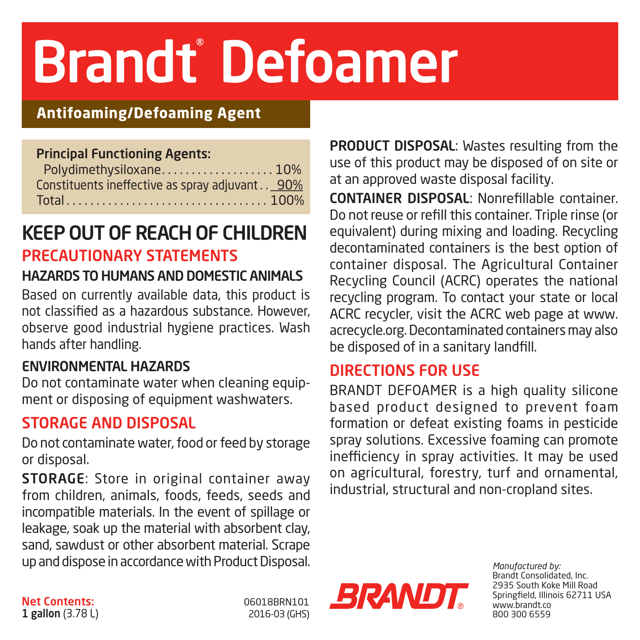# Brandt® Defoamer

## **Antifoaming/Defoaming Agent**

#### Principal Functioning Agents:

| Polydimethysiloxane 10%                        |  |
|------------------------------------------------|--|
| Constituents ineffective as spray adjuvant 90% |  |
|                                                |  |

## KEEP OUT OF REACH OF CHILDREN PRECAUTIONARY STATEMENTS

#### HAZARDS TO HUMANS AND DOMESTIC ANIMALS

Based on currently available data, this product is not classified as a hazardous substance. However, observe good industrial hygiene practices. Wash hands after handling.

#### ENVIRONMENTAL HAZARDS

Do not contaminate water when cleaning equipment or disposing of equipment washwaters.

### STORAGE AND DISPOSAL

Do not contaminate water, food or feed by storage or disposal.

STORAGE: Store in original container away from children, animals, foods, feeds, seeds and incompatible materials. In the event of spillage or leakage, soak up the material with absorbent clay, sand, sawdust or other absorbent material. Scrape up and dispose in accordance with Product Disposal.

PRODUCT DISPOSAL: Wastes resulting from the use of this product may be disposed of on site or at an approved waste disposal facility.

CONTAINER DISPOSAL: Nonrefillable container. Do not reuse or refill this container. Triple rinse (or equivalent) during mixing and loading. Recycling decontaminated containers is the best option of container disposal. The Agricultural Container Recycling Council (ACRC) operates the national recycling program. To contact your state or local ACRC recycler, visit the ACRC web page at www. acrecycle.org. Decontaminated containers may also be disposed of in a sanitary landfill.

### DIRECTIONS FOR USE

BRANDT DEFOAMER is a high quality silicone based product designed to prevent foam formation or defeat existing foams in pesticide spray solutions. Excessive foaming can promote inefficiency in spray activities. It may be used on agricultural, forestry, turf and ornamental, industrial, structural and non-cropland sites.

Net Contents: 06018BRN101 1 gallon (3.78 L) 2016-03 (GHS)



*Manufactured by:* Brandt Consolidated, Inc. 2935 South Koke Mill Road Springfield, Illinois 62711 USA www.brandt.co 800 300 6559